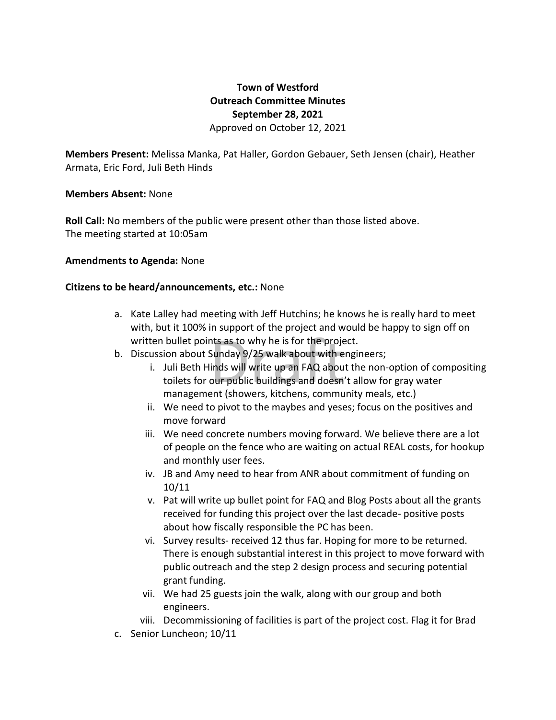# **Town of Westford Outreach Committee Minutes September 28, 2021** Approved on October 12, 2021

**Members Present:** Melissa Manka, Pat Haller, Gordon Gebauer, Seth Jensen (chair), Heather Armata, Eric Ford, Juli Beth Hinds

## **Members Absent:** None

**Roll Call:** No members of the public were present other than those listed above. The meeting started at 10:05am

## **Amendments to Agenda:** None

## **Citizens to be heard/announcements, etc.:** None

- a. Kate Lalley had meeting with Jeff Hutchins; he knows he is really hard to meet with, but it 100% in support of the project and would be happy to sign off on
- b. Discussion about Sunday 9/25 walk about with engineers;
- written bullet points as to why he is for the project.<br>Discussion about Sunday 9/25 walk about with engir<br>i. Juli Beth Hinds will write up an FAQ about th<br>toilets for our public buildings and doesn't al<br>management (showers i. Juli Beth Hinds will write up an FAQ about the non-option of compositing toilets for our public buildings and doesn't allow for gray water management (showers, kitchens, community meals, etc.)
	- ii. We need to pivot to the maybes and yeses; focus on the positives and move forward
	- iii. We need concrete numbers moving forward. We believe there are a lot of people on the fence who are waiting on actual REAL costs, for hookup and monthly user fees.
	- iv. JB and Amy need to hear from ANR about commitment of funding on 10/11
	- v. Pat will write up bullet point for FAQ and Blog Posts about all the grants received for funding this project over the last decade- positive posts about how fiscally responsible the PC has been.
	- vi. Survey results- received 12 thus far. Hoping for more to be returned. There is enough substantial interest in this project to move forward with public outreach and the step 2 design process and securing potential grant funding.
	- vii. We had 25 guests join the walk, along with our group and both engineers.
	- viii. Decommissioning of facilities is part of the project cost. Flag it for Brad
- c. Senior Luncheon; 10/11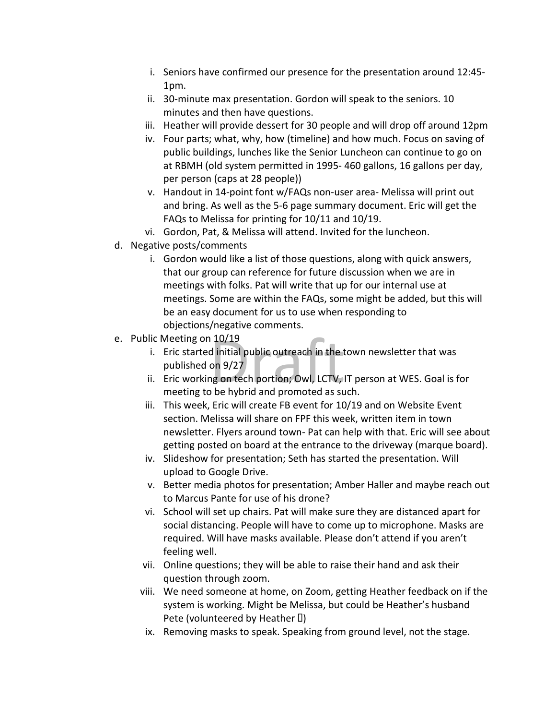- i. Seniors have confirmed our presence for the presentation around 12:45- 1pm.
- ii. 30-minute max presentation. Gordon will speak to the seniors. 10 minutes and then have questions.
- iii. Heather will provide dessert for 30 people and will drop off around 12pm
- iv. Four parts; what, why, how (timeline) and how much. Focus on saving of public buildings, lunches like the Senior Luncheon can continue to go on at RBMH (old system permitted in 1995- 460 gallons, 16 gallons per day, per person (caps at 28 people))
- v. Handout in 14-point font w/FAQs non-user area- Melissa will print out and bring. As well as the 5-6 page summary document. Eric will get the FAQs to Melissa for printing for 10/11 and 10/19.
- vi. Gordon, Pat, & Melissa will attend. Invited for the luncheon.
- d. Negative posts/comments
	- i. Gordon would like a list of those questions, along with quick answers, that our group can reference for future discussion when we are in meetings with folks. Pat will write that up for our internal use at meetings. Some are within the FAQs, some might be added, but this will be an easy document for us to use when responding to objections/negative comments.
- e. Public Meeting on 10/19
	- Meeting on 10/19<br>
	Eric started initial public outreach in the tow<br>
	published on 9/27<br>
	Eric working on tech portion; Owl, LCTV, IT p<br>
	meeting to be hybrid and promoted as such. i. Eric started initial public outreach in the town newsletter that was published on 9/27
	- ii. Eric working on tech portion; Owl, LCTV, IT person at WES. Goal is for
	- iii. This week, Eric will create FB event for 10/19 and on Website Event section. Melissa will share on FPF this week, written item in town newsletter. Flyers around town- Pat can help with that. Eric will see about getting posted on board at the entrance to the driveway (marque board).
	- iv. Slideshow for presentation; Seth has started the presentation. Will upload to Google Drive.
	- v. Better media photos for presentation; Amber Haller and maybe reach out to Marcus Pante for use of his drone?
	- vi. School will set up chairs. Pat will make sure they are distanced apart for social distancing. People will have to come up to microphone. Masks are required. Will have masks available. Please don't attend if you aren't feeling well.
	- vii. Online questions; they will be able to raise their hand and ask their question through zoom.
	- viii. We need someone at home, on Zoom, getting Heather feedback on if the system is working. Might be Melissa, but could be Heather's husband Pete (volunteered by Heather  $\Box$ )
	- ix. Removing masks to speak. Speaking from ground level, not the stage.